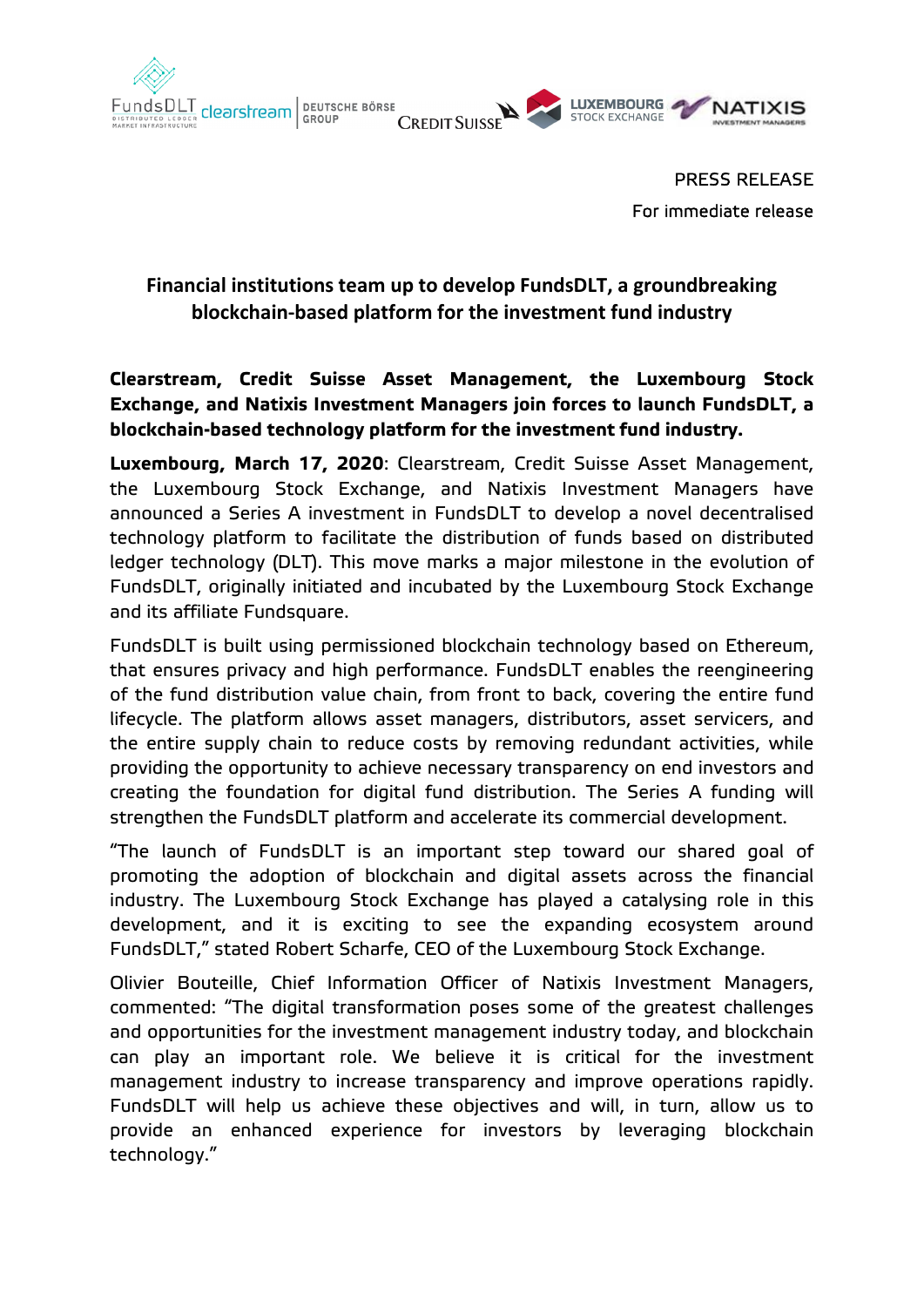

PRESS RELEASE For immediate release

# **Financial institutions team up to develop FundsDLT, a groundbreaking blockchain-based platform for the investment fund industry**

# **Clearstream, Credit Suisse Asset Management, the Luxembourg Stock Exchange, and Natixis Investment Managers join forces to launch FundsDLT, a blockchain-based technology platform for the investment fund industry.**

**Luxembourg, March 17, 2020**: Clearstream, Credit Suisse Asset Management, the Luxembourg Stock Exchange, and Natixis Investment Managers have announced a Series A investment in FundsDLT to develop a novel decentralised technology platform to facilitate the distribution of funds based on distributed ledger technology (DLT). This move marks a major milestone in the evolution of FundsDLT, originally initiated and incubated by the Luxembourg Stock Exchange and its affiliate Fundsquare.

FundsDLT is built using permissioned blockchain technology based on Ethereum, that ensures privacy and high performance. FundsDLT enables the reengineering of the fund distribution value chain, from front to back, covering the entire fund lifecycle. The platform allows asset managers, distributors, asset servicers, and the entire supply chain to reduce costs by removing redundant activities, while providing the opportunity to achieve necessary transparency on end investors and creating the foundation for digital fund distribution. The Series A funding will strengthen the FundsDLT platform and accelerate its commercial development.

"The launch of FundsDLT is an important step toward our shared goal of promoting the adoption of blockchain and digital assets across the financial industry. The Luxembourg Stock Exchange has played a catalysing role in this development, and it is exciting to see the expanding ecosystem around FundsDLT," stated Robert Scharfe, CEO of the Luxembourg Stock Exchange.

Olivier Bouteille, Chief Information Officer of Natixis Investment Managers, commented: "The digital transformation poses some of the greatest challenges and opportunities for the investment management industry today, and blockchain can play an important role. We believe it is critical for the investment management industry to increase transparency and improve operations rapidly. FundsDLT will help us achieve these objectives and will, in turn, allow us to provide an enhanced experience for investors by leveraging blockchain technology."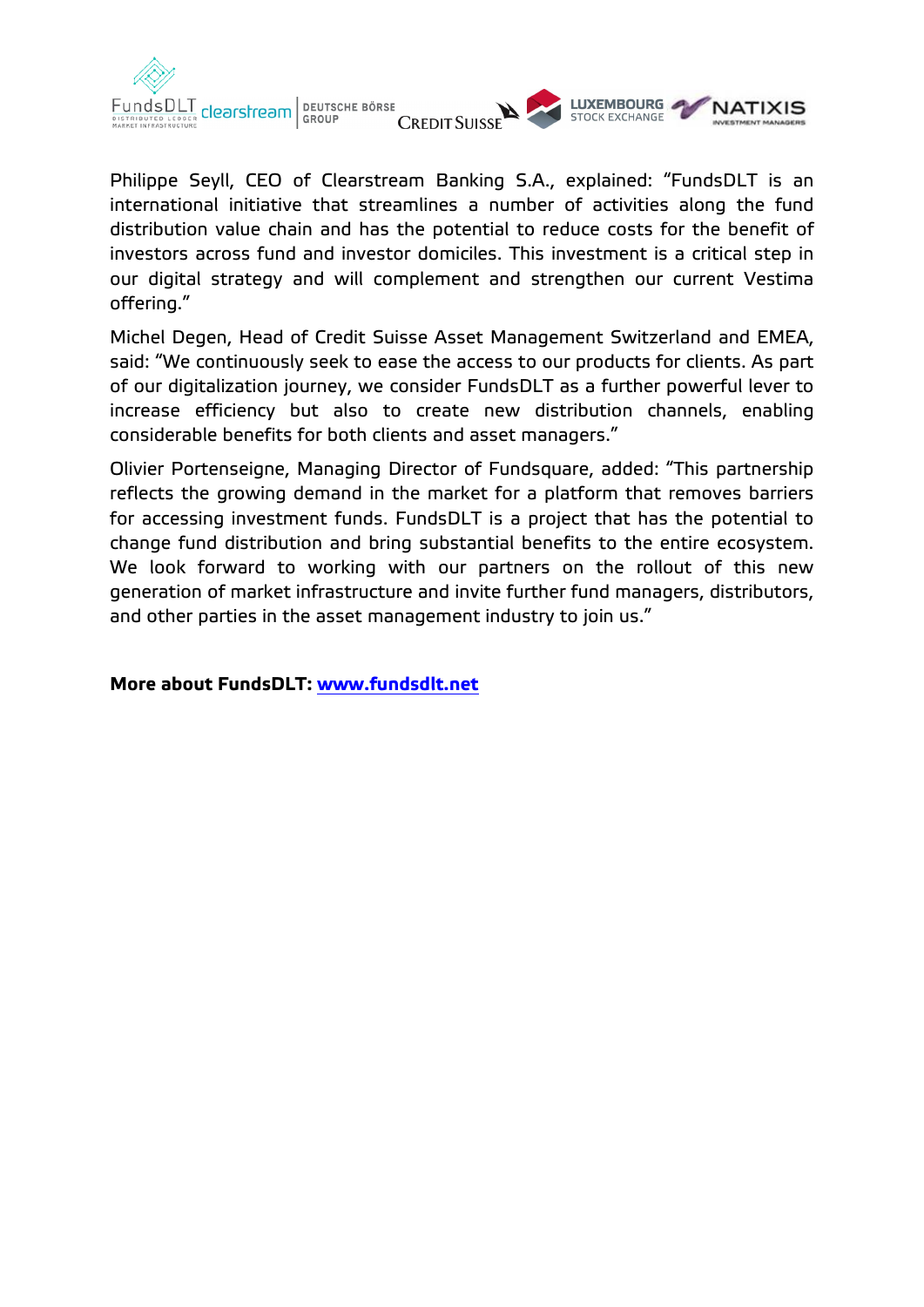





Philippe Seyll, CEO of Clearstream Banking S.A., explained: "FundsDLT is an international initiative that streamlines a number of activities along the fund distribution value chain and has the potential to reduce costs for the benefit of investors across fund and investor domiciles. This investment is a critical step in our digital strategy and will complement and strengthen our current Vestima offering."

Michel Degen, Head of Credit Suisse Asset Management Switzerland and EMEA, said: "We continuously seek to ease the access to our products for clients. As part of our digitalization journey, we consider FundsDLT as a further powerful lever to increase efficiency but also to create new distribution channels, enabling considerable benefits for both clients and asset managers."

Olivier Portenseigne, Managing Director of Fundsquare, added: "This partnership reflects the growing demand in the market for a platform that removes barriers for accessing investment funds. FundsDLT is a project that has the potential to change fund distribution and bring substantial benefits to the entire ecosystem. We look forward to working with our partners on the rollout of this new generation of market infrastructure and invite further fund managers, distributors, and other parties in the asset management industry to join us."

**More about FundsDLT: [www.fundsdlt.net](http://www.fundsdlt.net/)**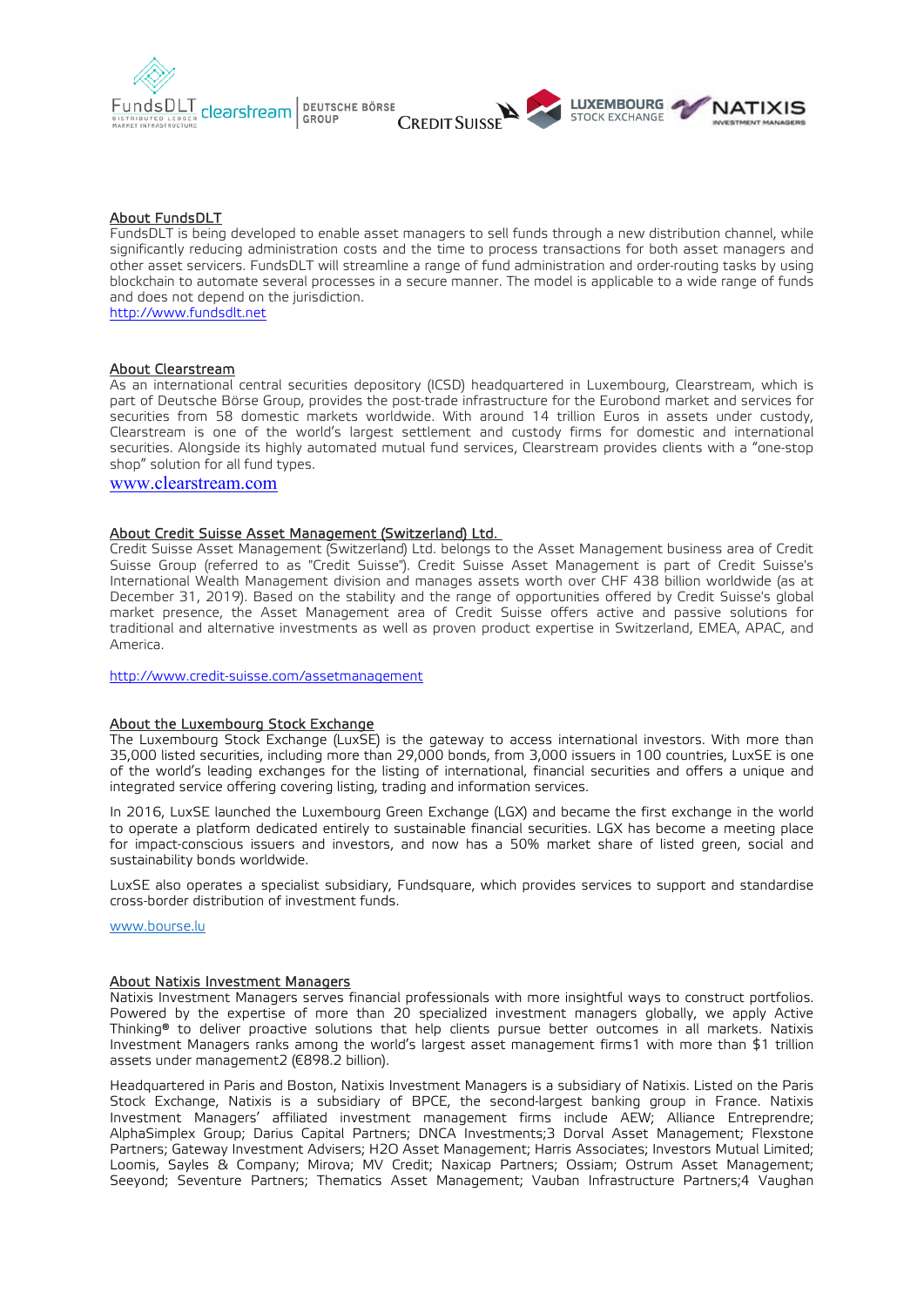





#### About FundsDLT

FundsDLT is being developed to enable asset managers to sell funds through a new distribution channel, while significantly reducing administration costs and the time to process transactions for both asset managers and other asset servicers. FundsDLT will streamline a range of fund administration and order-routing tasks by using blockchain to automate several processes in a secure manner. The model is applicable to a wide range of funds and does not depend on the jurisdiction.

[http://www.fundsdlt.net](http://www.fundsdlt.net/)

#### About Clearstream

As an international central securities depository (ICSD) headquartered in Luxembourg, Clearstream, which is part of Deutsche Börse Group, provides the post-trade infrastructure for the Eurobond market and services for securities from 58 domestic markets worldwide. With around 14 trillion Euros in assets under custody, Clearstream is one of the world's largest settlement and custody firms for domestic and international securities. Alongside its highly automated mutual fund services, Clearstream provides clients with a "one-stop shop" solution for all fund types.

[www.clearstream.com](http://www.clearstream.com/)

### About Credit Suisse Asset Management (Switzerland) Ltd.

Credit Suisse Asset Management (Switzerland) Ltd. belongs to the Asset Management business area of Credit Suisse Group (referred to as "Credit Suisse"). Credit Suisse Asset Management is part of Credit Suisse's International Wealth Management division and manages assets worth over CHF 438 billion worldwide (as at December 31, 2019). Based on the stability and the range of opportunities offered by Credit Suisse's global market presence, the Asset Management area of Credit Suisse offers active and passive solutions for traditional and alternative investments as well as proven product expertise in Switzerland, EMEA, APAC, and America.

<http://www.credit-suisse.com/assetmanagement>

#### About the Luxembourg Stock Exchange

The Luxembourg Stock Exchange (LuxSE) is the gateway to access international investors. With more than 35,000 listed securities, including more than 29,000 bonds, from 3,000 issuers in 100 countries, LuxSE is one of the world's leading exchanges for the listing of international, financial securities and offers a unique and integrated service offering covering listing, trading and information services.

In 2016, LuxSE launched the Luxembourg Green Exchange (LGX) and became the first exchange in the world to operate a platform dedicated entirely to sustainable financial securities. LGX has become a meeting place for impact-conscious issuers and investors, and now has a 50% market share of listed green, social and sustainability bonds worldwide.

LuxSE also operates a specialist subsidiary, Fundsquare, which provides services to support and standardise cross-border distribution of investment funds.

[www.bourse.lu](http://www.bourse.lu/)

#### About Natixis Investment Managers

Natixis Investment Managers serves financial professionals with more insightful ways to construct portfolios. Powered by the expertise of more than 20 specialized investment managers globally, we apply Active Thinking® to deliver proactive solutions that help clients pursue better outcomes in all markets. Natixis Investment Managers ranks among the world's largest asset management firms1 with more than \$1 trillion assets under management2 (€898.2 billion).

Headquartered in Paris and Boston, Natixis Investment Managers is a subsidiary of Natixis. Listed on the Paris Stock Exchange, Natixis is a subsidiary of BPCE, the second-largest banking group in France. Natixis Investment Managers' affiliated investment management firms include AEW; Alliance Entreprendre; AlphaSimplex Group; Darius Capital Partners; DNCA Investments;3 Dorval Asset Management; Flexstone Partners; Gateway Investment Advisers; H2O Asset Management; Harris Associates; Investors Mutual Limited; Loomis, Sayles & Company; Mirova; MV Credit; Naxicap Partners; Ossiam; Ostrum Asset Management; Seeyond; Seventure Partners; Thematics Asset Management; Vauban Infrastructure Partners;4 Vaughan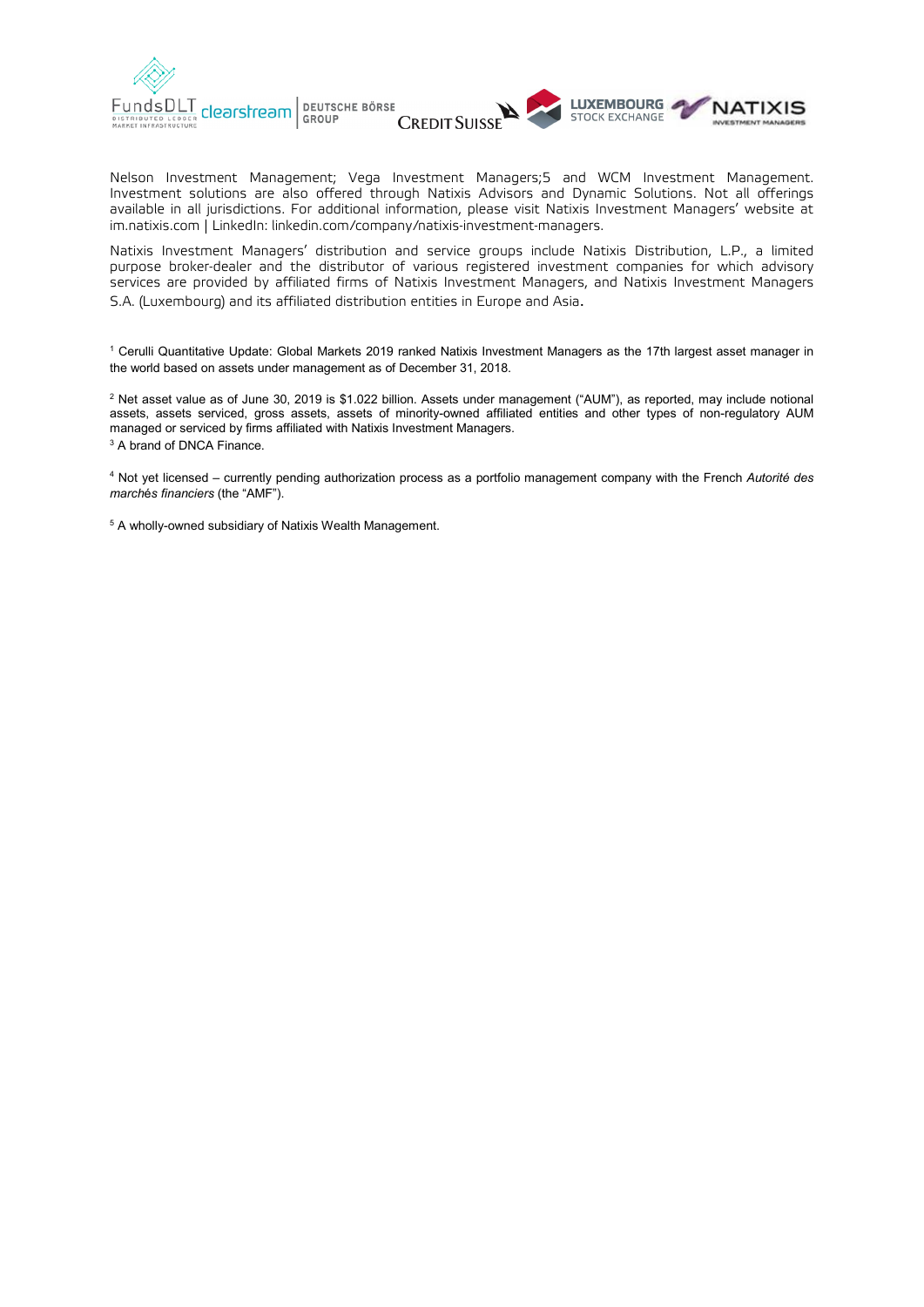





Nelson Investment Management; Vega Investment Managers;5 and WCM Investment Management. Investment solutions are also offered through Natixis Advisors and Dynamic Solutions. Not all offerings available in all jurisdictions. For additional information, please visit Natixis Investment Managers' website at [im.natixis.com](http://www.im.natixis.com/us/home) | LinkedIn: [linkedin.com/company/natixis-investment-managers.](https://www.linkedin.com/company/natixis-investment-managers/)

Natixis Investment Managers' distribution and service groups include Natixis Distribution, L.P., a limited purpose broker-dealer and the distributor of various registered investment companies for which advisory services are provided by affiliated firms of Natixis Investment Managers, and Natixis Investment Managers S.A. (Luxembourg) and its affiliated distribution entities in Europe and Asia.

<sup>1</sup> Cerulli Quantitative Update: Global Markets 2019 ranked Natixis Investment Managers as the 17th largest asset manager in the world based on assets under management as of December 31, 2018.

<sup>2</sup> Net asset value as of June 30, 2019 is \$1.022 billion. Assets under management ("AUM"), as reported, may include notional assets, assets serviced, gross assets, assets of minority-owned affiliated entities and other types of non-regulatory AUM managed or serviced by firms affiliated with Natixis Investment Managers.

<sup>3</sup> A brand of DNCA Finance.

<sup>4</sup> Not yet licensed – currently pending authorization process as a portfolio management company with the French *Autorité des march*é*s financiers* (the "AMF").

<sup>5</sup> A wholly-owned subsidiary of Natixis Wealth Management.